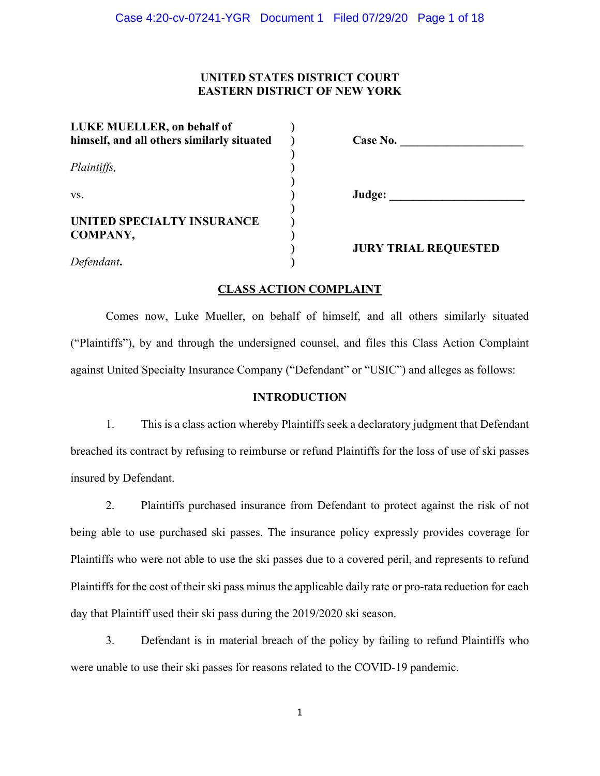# **UNITED STATES DISTRICT COURT EASTERN DISTRICT OF NEW YORK**

| LUKE MUELLER, on behalf of<br>himself, and all others similarly situated | Case No.                    |
|--------------------------------------------------------------------------|-----------------------------|
| Plaintiffs,                                                              |                             |
| VS.                                                                      | Judge:                      |
| UNITED SPECIALTY INSURANCE<br>COMPANY,                                   |                             |
| Defendant.                                                               | <b>JURY TRIAL REQUESTED</b> |

## **CLASS ACTION COMPLAINT**

Comes now, Luke Mueller, on behalf of himself, and all others similarly situated ("Plaintiffs"), by and through the undersigned counsel, and files this Class Action Complaint against United Specialty Insurance Company ("Defendant" or "USIC") and alleges as follows:

#### **INTRODUCTION**

1. This is a class action whereby Plaintiffs seek a declaratory judgment that Defendant breached its contract by refusing to reimburse or refund Plaintiffs for the loss of use of ski passes insured by Defendant.

2. Plaintiffs purchased insurance from Defendant to protect against the risk of not being able to use purchased ski passes. The insurance policy expressly provides coverage for Plaintiffs who were not able to use the ski passes due to a covered peril, and represents to refund Plaintiffs for the cost of their ski pass minus the applicable daily rate or pro-rata reduction for each day that Plaintiff used their ski pass during the 2019/2020 ski season.

3. Defendant is in material breach of the policy by failing to refund Plaintiffs who were unable to use their ski passes for reasons related to the COVID-19 pandemic.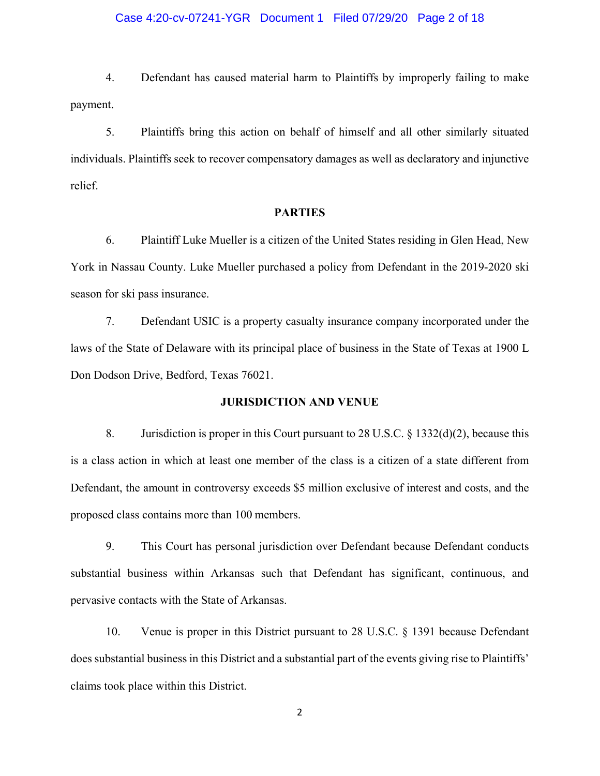## Case 4:20-cv-07241-YGR Document 1 Filed 07/29/20 Page 2 of 18

4. Defendant has caused material harm to Plaintiffs by improperly failing to make payment.

5. Plaintiffs bring this action on behalf of himself and all other similarly situated individuals. Plaintiffs seek to recover compensatory damages as well as declaratory and injunctive relief.

#### **PARTIES**

6. Plaintiff Luke Mueller is a citizen of the United States residing in Glen Head, New York in Nassau County. Luke Mueller purchased a policy from Defendant in the 2019-2020 ski season for ski pass insurance.

7. Defendant USIC is a property casualty insurance company incorporated under the laws of the State of Delaware with its principal place of business in the State of Texas at 1900 L Don Dodson Drive, Bedford, Texas 76021.

#### **JURISDICTION AND VENUE**

8. Jurisdiction is proper in this Court pursuant to 28 U.S.C. § 1332(d)(2), because this is a class action in which at least one member of the class is a citizen of a state different from Defendant, the amount in controversy exceeds \$5 million exclusive of interest and costs, and the proposed class contains more than 100 members.

9. This Court has personal jurisdiction over Defendant because Defendant conducts substantial business within Arkansas such that Defendant has significant, continuous, and pervasive contacts with the State of Arkansas.

10. Venue is proper in this District pursuant to 28 U.S.C. § 1391 because Defendant does substantial business in this District and a substantial part of the events giving rise to Plaintiffs' claims took place within this District.

2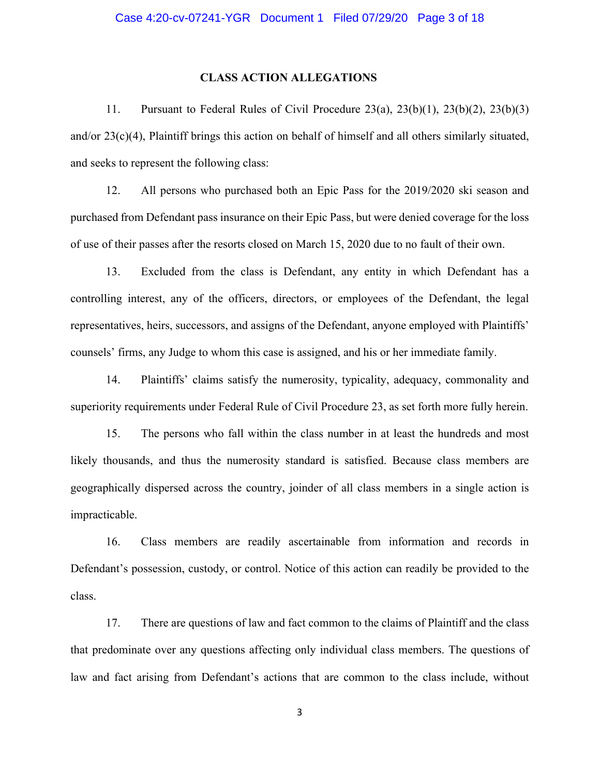## **CLASS ACTION ALLEGATIONS**

11. Pursuant to Federal Rules of Civil Procedure 23(a), 23(b)(1), 23(b)(2), 23(b)(3) and/or 23(c)(4), Plaintiff brings this action on behalf of himself and all others similarly situated, and seeks to represent the following class:

12. All persons who purchased both an Epic Pass for the 2019/2020 ski season and purchased from Defendant pass insurance on their Epic Pass, but were denied coverage for the loss of use of their passes after the resorts closed on March 15, 2020 due to no fault of their own.

13. Excluded from the class is Defendant, any entity in which Defendant has a controlling interest, any of the officers, directors, or employees of the Defendant, the legal representatives, heirs, successors, and assigns of the Defendant, anyone employed with Plaintiffs' counsels' firms, any Judge to whom this case is assigned, and his or her immediate family.

14. Plaintiffs' claims satisfy the numerosity, typicality, adequacy, commonality and superiority requirements under Federal Rule of Civil Procedure 23, as set forth more fully herein.

15. The persons who fall within the class number in at least the hundreds and most likely thousands, and thus the numerosity standard is satisfied. Because class members are geographically dispersed across the country, joinder of all class members in a single action is impracticable.

16. Class members are readily ascertainable from information and records in Defendant's possession, custody, or control. Notice of this action can readily be provided to the class.

17. There are questions of law and fact common to the claims of Plaintiff and the class that predominate over any questions affecting only individual class members. The questions of law and fact arising from Defendant's actions that are common to the class include, without

3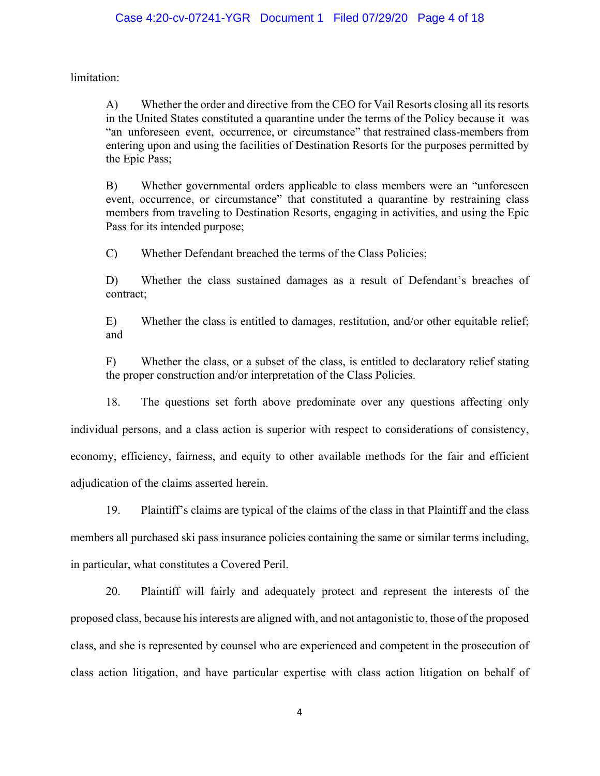limitation:

A) Whether the order and directive from the CEO for Vail Resorts closing all its resorts in the United States constituted a quarantine under the terms of the Policy because it was "an unforeseen event, occurrence, or circumstance" that restrained class-members from entering upon and using the facilities of Destination Resorts for the purposes permitted by the Epic Pass;

B) Whether governmental orders applicable to class members were an "unforeseen event, occurrence, or circumstance" that constituted a quarantine by restraining class members from traveling to Destination Resorts, engaging in activities, and using the Epic Pass for its intended purpose;

C) Whether Defendant breached the terms of the Class Policies;

D) Whether the class sustained damages as a result of Defendant's breaches of contract;

E) Whether the class is entitled to damages, restitution, and/or other equitable relief; and

F) Whether the class, or a subset of the class, is entitled to declaratory relief stating the proper construction and/or interpretation of the Class Policies.

18. The questions set forth above predominate over any questions affecting only individual persons, and a class action is superior with respect to considerations of consistency, economy, efficiency, fairness, and equity to other available methods for the fair and efficient adjudication of the claims asserted herein.

19. Plaintiff's claims are typical of the claims of the class in that Plaintiff and the class members all purchased ski pass insurance policies containing the same or similar terms including, in particular, what constitutes a Covered Peril.

20. Plaintiff will fairly and adequately protect and represent the interests of the proposed class, because hisinterests are aligned with, and not antagonistic to, those of the proposed class, and she is represented by counsel who are experienced and competent in the prosecution of class action litigation, and have particular expertise with class action litigation on behalf of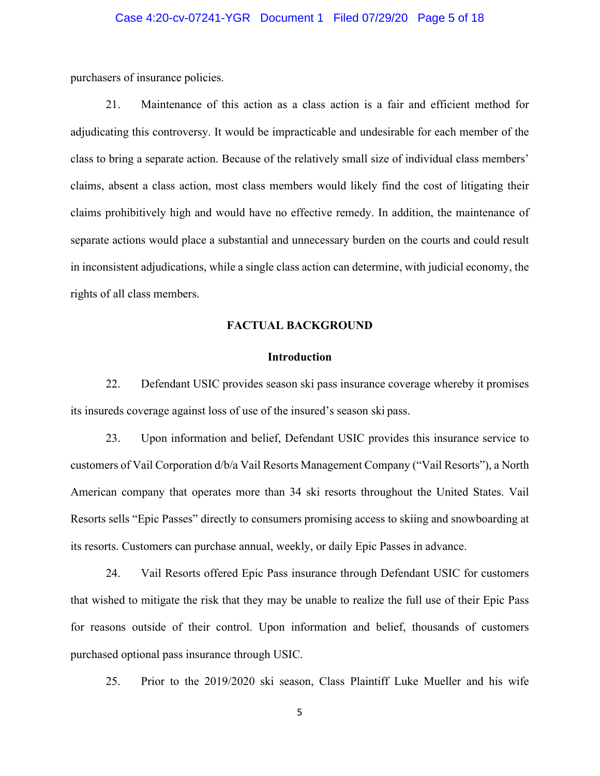## Case 4:20-cv-07241-YGR Document 1 Filed 07/29/20 Page 5 of 18

purchasers of insurance policies.

21. Maintenance of this action as a class action is a fair and efficient method for adjudicating this controversy. It would be impracticable and undesirable for each member of the class to bring a separate action. Because of the relatively small size of individual class members' claims, absent a class action, most class members would likely find the cost of litigating their claims prohibitively high and would have no effective remedy. In addition, the maintenance of separate actions would place a substantial and unnecessary burden on the courts and could result in inconsistent adjudications, while a single class action can determine, with judicial economy, the rights of all class members.

## **FACTUAL BACKGROUND**

## **Introduction**

22. Defendant USIC provides season ski pass insurance coverage whereby it promises its insureds coverage against loss of use of the insured's season ski pass.

23. Upon information and belief, Defendant USIC provides this insurance service to customers of Vail Corporation d/b/a Vail Resorts Management Company ("Vail Resorts"), a North American company that operates more than 34 ski resorts throughout the United States. Vail Resorts sells "Epic Passes" directly to consumers promising access to skiing and snowboarding at its resorts. Customers can purchase annual, weekly, or daily Epic Passes in advance.

24. Vail Resorts offered Epic Pass insurance through Defendant USIC for customers that wished to mitigate the risk that they may be unable to realize the full use of their Epic Pass for reasons outside of their control. Upon information and belief, thousands of customers purchased optional pass insurance through USIC.

25. Prior to the 2019/2020 ski season, Class Plaintiff Luke Mueller and his wife

5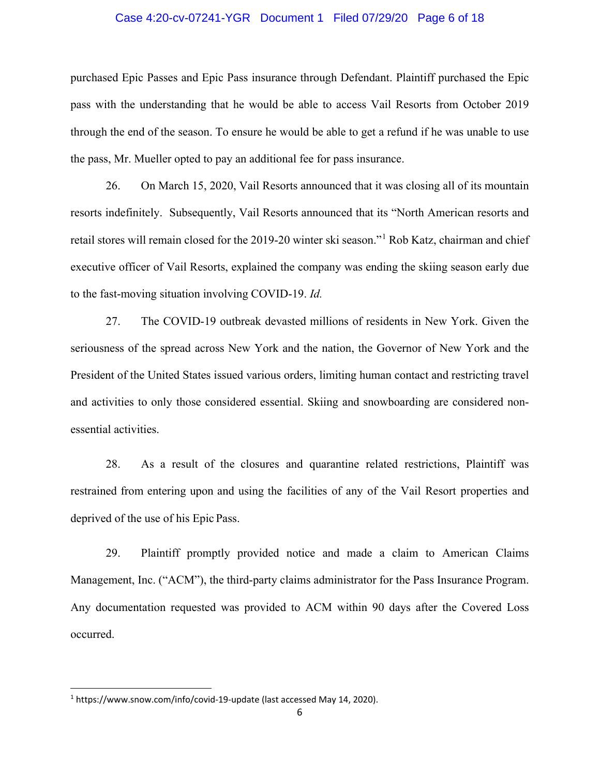## Case 4:20-cv-07241-YGR Document 1 Filed 07/29/20 Page 6 of 18

purchased Epic Passes and Epic Pass insurance through Defendant. Plaintiff purchased the Epic pass with the understanding that he would be able to access Vail Resorts from October 2019 through the end of the season. To ensure he would be able to get a refund if he was unable to use the pass, Mr. Mueller opted to pay an additional fee for pass insurance.

26. On March 15, 2020, Vail Resorts announced that it was closing all of its mountain resorts indefinitely. Subsequently, Vail Resorts announced that its "North American resorts and retail stores will remain closed for the 2019-20 winter ski season."[1](#page-5-0) Rob Katz, chairman and chief executive officer of Vail Resorts, explained the company was ending the skiing season early due to the fast-moving situation involving COVID-19. *Id.*

27. The COVID-19 outbreak devasted millions of residents in New York. Given the seriousness of the spread across New York and the nation, the Governor of New York and the President of the United States issued various orders, limiting human contact and restricting travel and activities to only those considered essential. Skiing and snowboarding are considered nonessential activities.

28. As a result of the closures and quarantine related restrictions, Plaintiff was restrained from entering upon and using the facilities of any of the Vail Resort properties and deprived of the use of his Epic Pass.

29. Plaintiff promptly provided notice and made a claim to American Claims Management, Inc. ("ACM"), the third-party claims administrator for the Pass Insurance Program. Any documentation requested was provided to ACM within 90 days after the Covered Loss occurred.

<span id="page-5-0"></span><sup>1</sup> https://www.snow.com/info/covid-19-update (last accessed May 14, 2020).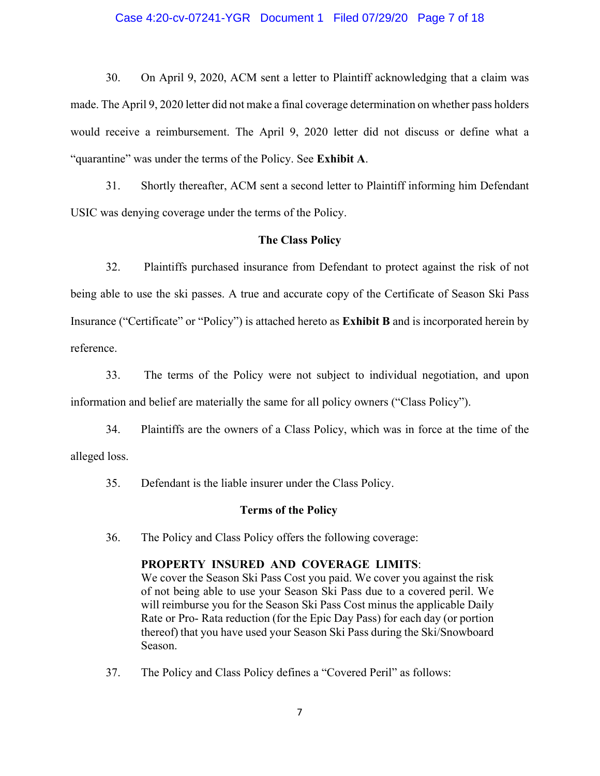### Case 4:20-cv-07241-YGR Document 1 Filed 07/29/20 Page 7 of 18

30. On April 9, 2020, ACM sent a letter to Plaintiff acknowledging that a claim was made. The April 9, 2020 letter did not make a final coverage determination on whether pass holders would receive a reimbursement. The April 9, 2020 letter did not discuss or define what a "quarantine" was under the terms of the Policy. See **Exhibit A**.

31. Shortly thereafter, ACM sent a second letter to Plaintiff informing him Defendant USIC was denying coverage under the terms of the Policy.

## **The Class Policy**

32. Plaintiffs purchased insurance from Defendant to protect against the risk of not being able to use the ski passes. A true and accurate copy of the Certificate of Season Ski Pass Insurance ("Certificate" or "Policy") is attached hereto as **Exhibit B** and is incorporated herein by reference.

33. The terms of the Policy were not subject to individual negotiation, and upon information and belief are materially the same for all policy owners ("Class Policy").

34. Plaintiffs are the owners of a Class Policy, which was in force at the time of the alleged loss.

35. Defendant is the liable insurer under the Class Policy.

#### **Terms of the Policy**

36. The Policy and Class Policy offers the following coverage:

#### **PROPERTY INSURED AND COVERAGE LIMITS**:

We cover the Season Ski Pass Cost you paid. We cover you against the risk of not being able to use your Season Ski Pass due to a covered peril. We will reimburse you for the Season Ski Pass Cost minus the applicable Daily Rate or Pro- Rata reduction (for the Epic Day Pass) for each day (or portion thereof) that you have used your Season Ski Pass during the Ski/Snowboard Season.

37. The Policy and Class Policy defines a "Covered Peril" as follows: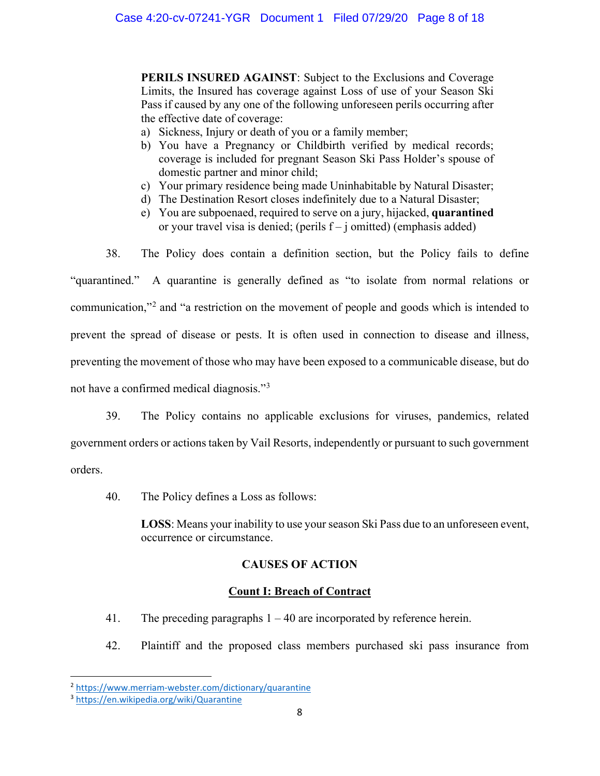**PERILS INSURED AGAINST**: Subject to the Exclusions and Coverage Limits, the Insured has coverage against Loss of use of your Season Ski Pass if caused by any one of the following unforeseen perils occurring after the effective date of coverage:

- a) Sickness, Injury or death of you or a family member;
- b) You have a Pregnancy or Childbirth verified by medical records; coverage is included for pregnant Season Ski Pass Holder's spouse of domestic partner and minor child;
- c) Your primary residence being made Uninhabitable by Natural Disaster;
- d) The Destination Resort closes indefinitely due to a Natural Disaster;
- e) You are subpoenaed, required to serve on a jury, hijacked, **quarantined** or your travel visa is denied; (perils  $f - j$  omitted) (emphasis added)

38. The Policy does contain a definition section, but the Policy fails to define

"quarantined." A quarantine is generally defined as "to isolate from normal relations or communication,"[2](#page-7-0) and "a restriction on the movement of people and goods which is intended to prevent the spread of disease or pests. It is often used in connection to disease and illness, preventing the movement of those who may have been exposed to a communicable disease, but do not have a confirmed medical diagnosis."[3](#page-7-1)

39. The Policy contains no applicable exclusions for viruses, pandemics, related government orders or actions taken by Vail Resorts, independently or pursuant to such government orders.

40. The Policy defines a Loss as follows:

**LOSS**: Means your inability to use your season Ski Pass due to an unforeseen event, occurrence or circumstance.

# **CAUSES OF ACTION**

## **Count I: Breach of Contract**

- 41. The preceding paragraphs 1 40 are incorporated by reference herein.
- 42. Plaintiff and the proposed class members purchased ski pass insurance from

<span id="page-7-0"></span><sup>2</sup> <https://www.merriam-webster.com/dictionary/quarantine>

<span id="page-7-1"></span><sup>3</sup> <https://en.wikipedia.org/wiki/Quarantine>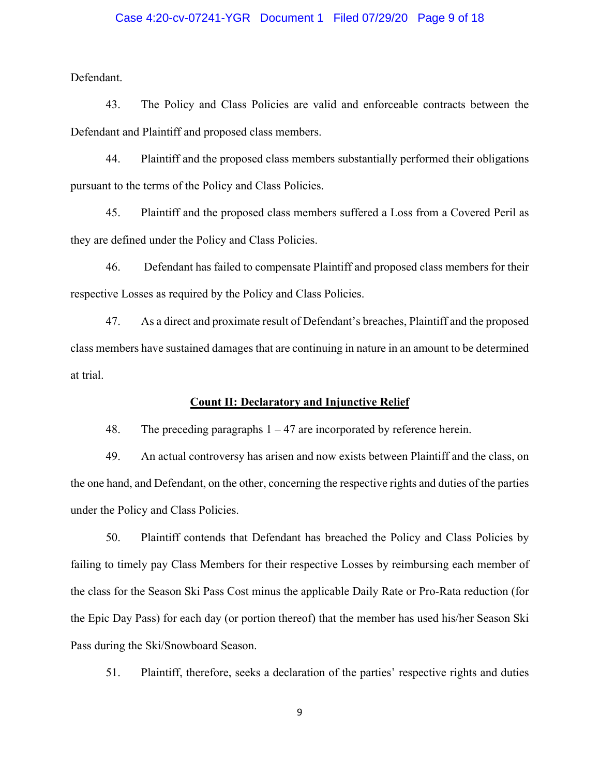## Case 4:20-cv-07241-YGR Document 1 Filed 07/29/20 Page 9 of 18

Defendant.

43. The Policy and Class Policies are valid and enforceable contracts between the Defendant and Plaintiff and proposed class members.

44. Plaintiff and the proposed class members substantially performed their obligations pursuant to the terms of the Policy and Class Policies.

45. Plaintiff and the proposed class members suffered a Loss from a Covered Peril as they are defined under the Policy and Class Policies.

46. Defendant has failed to compensate Plaintiff and proposed class members for their respective Losses as required by the Policy and Class Policies.

47. As a direct and proximate result of Defendant's breaches, Plaintiff and the proposed class members have sustained damages that are continuing in nature in an amount to be determined at trial.

#### **Count II: Declaratory and Injunctive Relief**

48. The preceding paragraphs  $1 - 47$  are incorporated by reference herein.

49. An actual controversy has arisen and now exists between Plaintiff and the class, on the one hand, and Defendant, on the other, concerning the respective rights and duties of the parties under the Policy and Class Policies.

50. Plaintiff contends that Defendant has breached the Policy and Class Policies by failing to timely pay Class Members for their respective Losses by reimbursing each member of the class for the Season Ski Pass Cost minus the applicable Daily Rate or Pro-Rata reduction (for the Epic Day Pass) for each day (or portion thereof) that the member has used his/her Season Ski Pass during the Ski/Snowboard Season.

51. Plaintiff, therefore, seeks a declaration of the parties' respective rights and duties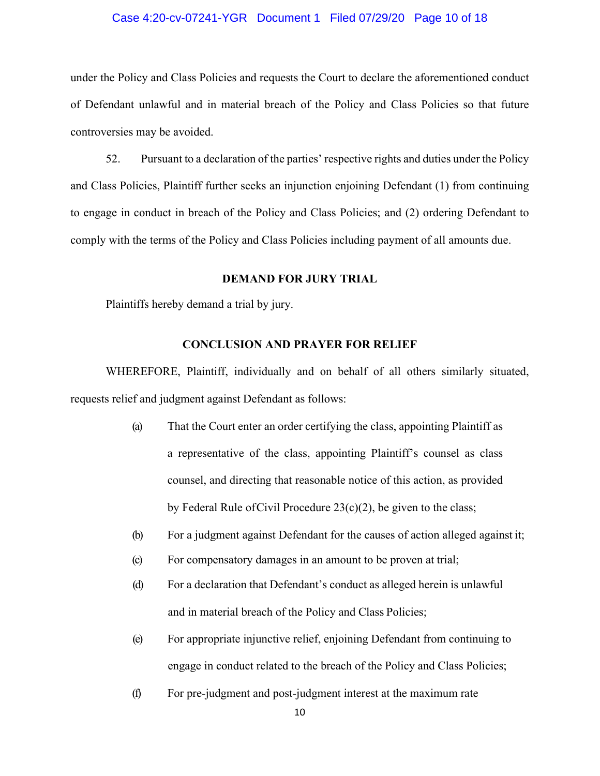## Case 4:20-cv-07241-YGR Document 1 Filed 07/29/20 Page 10 of 18

under the Policy and Class Policies and requests the Court to declare the aforementioned conduct of Defendant unlawful and in material breach of the Policy and Class Policies so that future controversies may be avoided.

52. Pursuant to a declaration of the parties' respective rights and duties under the Policy and Class Policies, Plaintiff further seeks an injunction enjoining Defendant (1) from continuing to engage in conduct in breach of the Policy and Class Policies; and (2) ordering Defendant to comply with the terms of the Policy and Class Policies including payment of all amounts due.

#### **DEMAND FOR JURY TRIAL**

Plaintiffs hereby demand a trial by jury.

#### **CONCLUSION AND PRAYER FOR RELIEF**

WHEREFORE, Plaintiff, individually and on behalf of all others similarly situated, requests relief and judgment against Defendant as follows:

- (a) That the Court enter an order certifying the class, appointing Plaintiff as a representative of the class, appointing Plaintiff's counsel as class counsel, and directing that reasonable notice of this action, as provided by Federal Rule ofCivil Procedure 23(c)(2), be given to the class;
- (b) For a judgment against Defendant for the causes of action alleged against it;
- (c) For compensatory damages in an amount to be proven at trial;
- (d) For a declaration that Defendant's conduct as alleged herein is unlawful and in material breach of the Policy and Class Policies;
- (e) For appropriate injunctive relief, enjoining Defendant from continuing to engage in conduct related to the breach of the Policy and Class Policies;
- (f) For pre-judgment and post-judgment interest at the maximum rate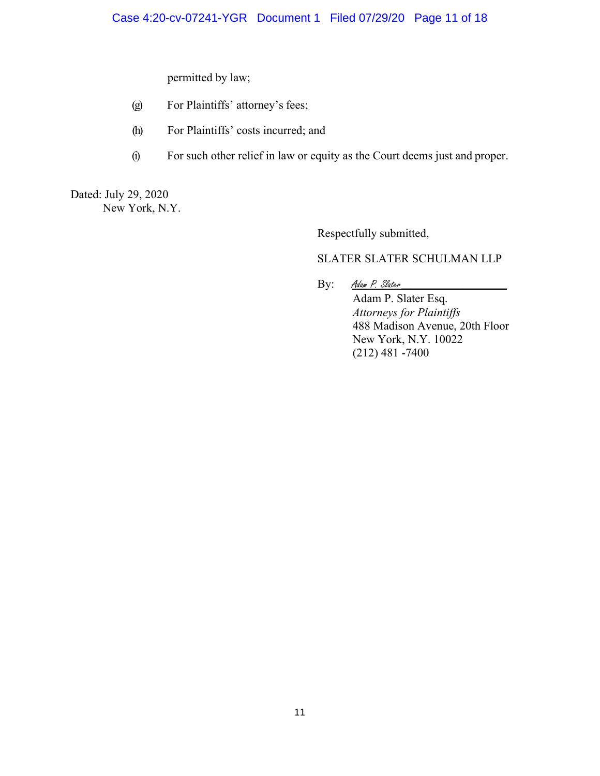permitted by law;

- (g) For Plaintiffs' attorney's fees;
- (h) For Plaintiffs' costs incurred; and
- (i) For such other relief in law or equity as the Court deems just and proper.

Dated: July 29, 2020 New York, N.Y.

Respectfully submitted,

# SLATER SLATER SCHULMAN LLP

By: Adam P. Slater

Adam P. Slater Esq. *Attorneys for Plaintiffs* 488 Madison Avenue, 20th Floor New York, N.Y. 10022 (212) 481 -7400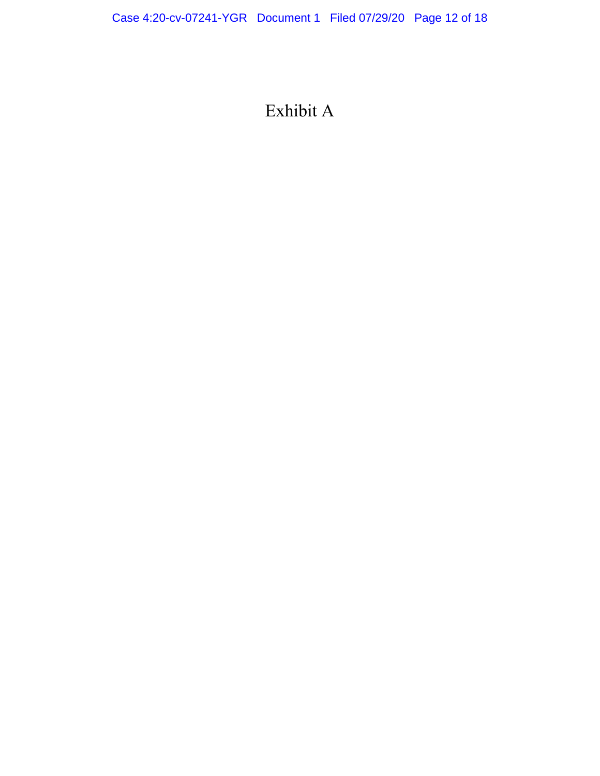# Exhibit A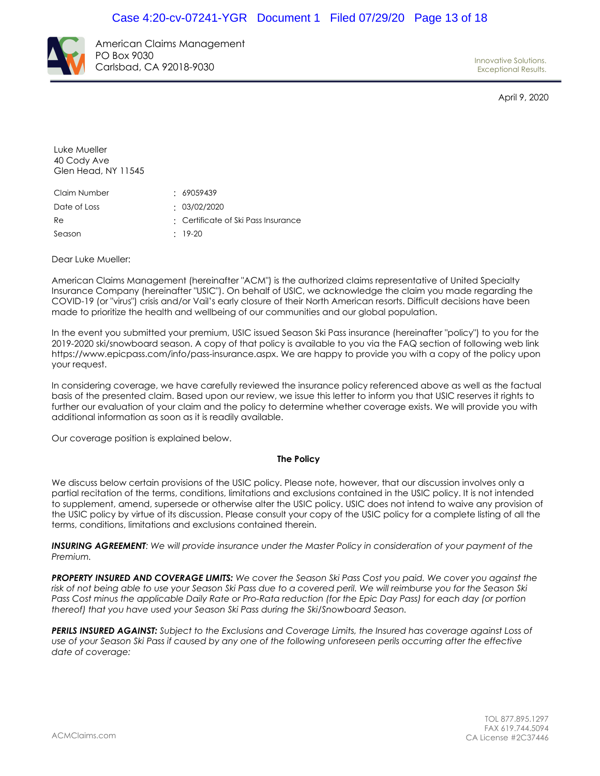

American Claims Management PO Box 9030 Carlsbad, CA 92018-9030

Innovative Solutions. Exceptional Results.

April 9, 2020

Luke Mueller 40 Cody Ave Glen Head, NY 11545

| Claim Number | : 69059439                          |
|--------------|-------------------------------------|
| Date of Loss | : 03/02/2020                        |
| Re           | : Certificate of Ski Pass Insurance |
| Season       | $\cdot$ 19-20                       |

Dear Luke Mueller:

American Claims Management (hereinafter "ACM") is the authorized claims representative of United Specialty Insurance Company (hereinafter "USIC"). On behalf of USIC, we acknowledge the claim you made regarding the COVID-19 (or "virus") crisis and/or Vail's early closure of their North American resorts. Difficult decisions have been made to prioritize the health and wellbeing of our communities and our global population.

In the event you submitted your premium, USIC issued Season Ski Pass insurance (hereinafter "policy") to you for the 2019-2020 ski/snowboard season. A copy of that policy is available to you via the FAQ section of following web link https://www.epicpass.com/info/pass-insurance.aspx. We are happy to provide you with a copy of the policy upon your request.

In considering coverage, we have carefully reviewed the insurance policy referenced above as well as the factual basis of the presented claim. Based upon our review, we issue this letter to inform you that USIC reserves it rights to further our evaluation of your claim and the policy to determine whether coverage exists. We will provide you with additional information as soon as it is readily available.

Our coverage position is explained below.

#### **The Policy**

We discuss below certain provisions of the USIC policy. Please note, however, that our discussion involves only a partial recitation of the terms, conditions, limitations and exclusions contained in the USIC policy. It is not intended to supplement, amend, supersede or otherwise alter the USIC policy. USIC does not intend to waive any provision of the USIC policy by virtue of its discussion. Please consult your copy of the USIC policy for a complete listing of all the terms, conditions, limitations and exclusions contained therein.

*INSURING AGREEMENT: We will provide insurance under the Master Policy in consideration of your payment of the Premium.*

*PROPERTY INSURED AND COVERAGE LIMITS: We cover the Season Ski Pass Cost you paid. We cover you against the*  risk of not being able to use your Season Ski Pass due to a covered peril. We will reimburse you for the Season Ski Pass Cost minus the applicable Daily Rate or Pro-Rata reduction (for the Epic Day Pass) for each day (or portion *thereof) that you have used your Season Ski Pass during the Ski/Snowboard Season.*

*PERILS INSURED AGAINST: Subject to the Exclusions and Coverage Limits, the Insured has coverage against Loss of*  use of your Season Ski Pass if caused by any one of the following unforeseen perils occurring after the effective *date of coverage:*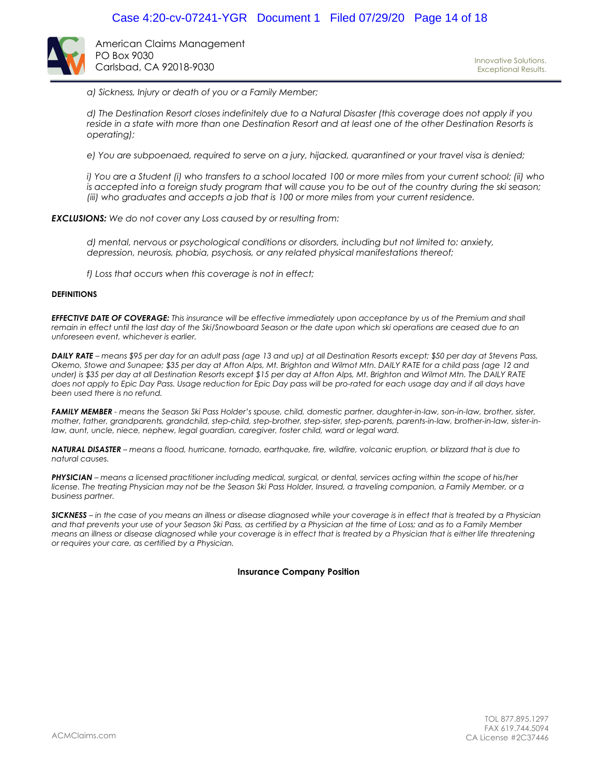

American Claims Management PO Box 9030 Carlsbad, CA 92018-9030

*a) Sickness, Injury or death of you or a Family Member;*

*d) The Destination Resort closes indefinitely due to a Natural Disaster (this coverage does not apply if you*  reside in a state with more than one Destination Resort and at least one of the other Destination Resorts is *operating);*

*e) You are subpoenaed, required to serve on a jury, hijacked, quarantined or your travel visa is denied;*

*i) You are a Student (i) who transfers to a school located 100 or more miles from your current school; (ii) who* is accepted into a foreign study program that will cause you to be out of the country during the ski season; *(iii) who graduates and accepts a job that is 100 or more miles from your current residence.*

*EXCLUSIONS: We do not cover any Loss caused by or resulting from:*

*d) mental, nervous or psychological conditions or disorders, including but not limited to: anxiety, depression, neurosis, phobia, psychosis, or any related physical manifestations thereof;*

*f) Loss that occurs when this coverage is not in effect;*

#### **DEFINITIONS**

*EFFECTIVE DATE OF COVERAGE: This insurance will be effective immediately upon acceptance by us of the Premium and shall remain in effect until the last day of the Ski/Snowboard Season or the date upon which ski operations are ceased due to an unforeseen event, whichever is earlier.*

*DAILY RATE – means \$95 per day for an adult pass (age 13 and up) at all Destination Resorts except; \$50 per day at Stevens Pass, Okemo, Stowe and Sunapee; \$35 per day at Afton Alps, Mt. Brighton and Wilmot Mtn. DAILY RATE for a child pass (age 12 and under) is \$35 per day at all Destination Resorts except \$15 per day at Afton Alps, Mt. Brighton and Wilmot Mtn. The DAILY RATE does not apply to Epic Day Pass. Usage reduction for Epic Day pass will be pro-rated for each usage day and if all days have been used there is no refund.*

*FAMILY MEMBER - means the Season Ski Pass Holder's spouse, child, domestic partner, daughter-in-law, son-in-law, brother, sister, mother, father, grandparents, grandchild, step-child, step-brother, step-sister, step-parents, parents-in-law, brother-in-law, sister-inlaw, aunt, uncle, niece, nephew, legal guardian, caregiver, foster child, ward or legal ward.*

*NATURAL DISASTER – means a flood, hurricane, tornado, earthquake, fire, wildfire, volcanic eruption, or blizzard that is due to natural causes.*

*PHYSICIAN – means a licensed practitioner including medical, surgical, or dental, services acting within the scope of his/her license. The treating Physician may not be the Season Ski Pass Holder, Insured, a traveling companion, a Family Member, or a business partner.*

*SICKNESS – in the case of you means an illness or disease diagnosed while your coverage is in effect that is treated by a Physician and that prevents your use of your Season Ski Pass, as certified by a Physician at the time of Loss; and as to a Family Member means an illness or disease diagnosed while your coverage is in effect that is treated by a Physician that is either life threatening or requires your care, as certified by a Physician.*

#### **Insurance Company Position**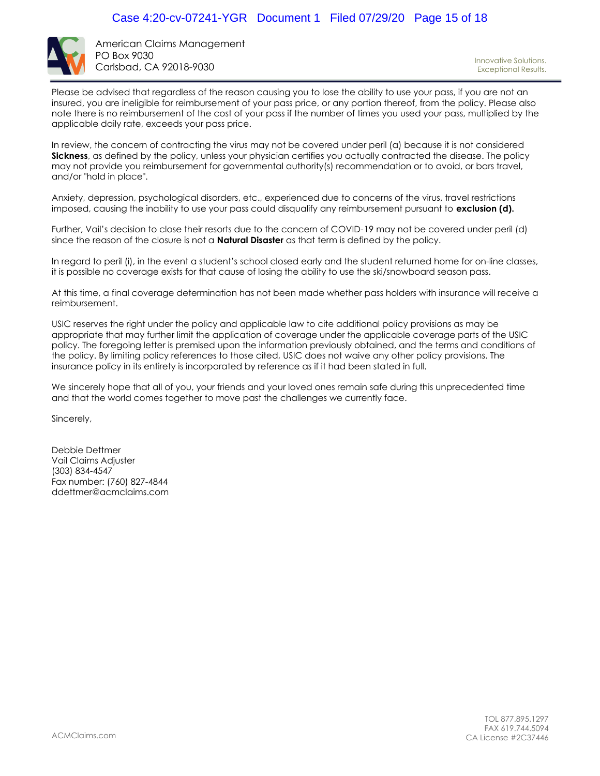

American Claims Management PO Box 9030 Carlsbad, CA 92018-9030

Innovative Solutions. Exceptional Results.

Please be advised that regardless of the reason causing you to lose the ability to use your pass, if you are not an insured, you are ineligible for reimbursement of your pass price, or any portion thereof, from the policy. Please also note there is no reimbursement of the cost of your pass if the number of times you used your pass, multiplied by the applicable daily rate, exceeds your pass price.

In review, the concern of contracting the virus may not be covered under peril (a) because it is not considered **Sickness**, as defined by the policy, unless your physician certifies you actually contracted the disease. The policy may not provide you reimbursement for governmental authority(s) recommendation or to avoid, or bars travel, and/or "hold in place".

Anxiety, depression, psychological disorders, etc., experienced due to concerns of the virus, travel restrictions imposed, causing the inability to use your pass could disqualify any reimbursement pursuant to **exclusion (d).**

Further, Vail's decision to close their resorts due to the concern of COVID-19 may not be covered under peril (d) since the reason of the closure is not a **Natural Disaster** as that term is defined by the policy.

In regard to peril (i), in the event a student's school closed early and the student returned home for on-line classes, it is possible no coverage exists for that cause of losing the ability to use the ski/snowboard season pass.

At this time, a final coverage determination has not been made whether pass holders with insurance will receive a reimbursement.

USIC reserves the right under the policy and applicable law to cite additional policy provisions as may be appropriate that may further limit the application of coverage under the applicable coverage parts of the USIC policy. The foregoing letter is premised upon the information previously obtained, and the terms and conditions of the policy. By limiting policy references to those cited, USIC does not waive any other policy provisions. The insurance policy in its entirety is incorporated by reference as if it had been stated in full.

We sincerely hope that all of you, your friends and your loved ones remain safe during this unprecedented time and that the world comes together to move past the challenges we currently face.

Sincerely,

Debbie Dettmer Vail Claims Adjuster (303) 834-4547 Fax number: (760) 827-4844 ddettmer@acmclaims.com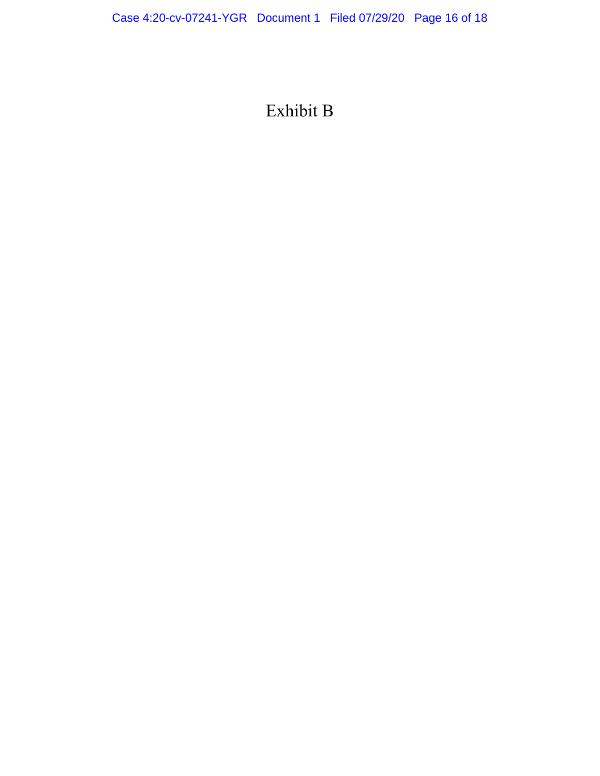# Exhibit B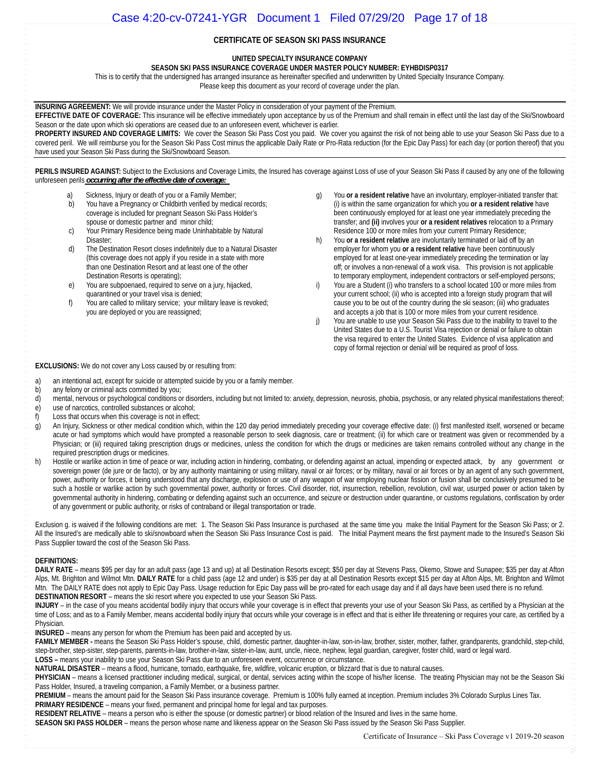#### **CERTIFICATE OF SEASON SKI PASS INSURANCE**

#### **UNITED SPECIALTY INSURANCE COMPANY**

**SEASON SKI PASS INSURANCE COVERAGE UNDER MASTER POLICY NUMBER: EYHBDISP0317** 

This is to certify that the undersigned has arranged insurance as hereinafter specified and underwritten by United Specialty Insurance Company. Please keep this document as your record of coverage under the plan.

**INSURING AGREEMENT:** We will provide insurance under the Master Policy in consideration of your payment of the Premium.

**EFFECTIVE DATE OF COVERAGE:** This insurance will be effective immediately upon acceptance by us of the Premium and shall remain in effect until the last day of the Ski/Snowboard Season or the date upon which ski operations are ceased due to an unforeseen event, whichever is earlier.

PROPERTY INSURED AND COVERAGE LIMITS: We cover the Season Ski Pass Cost you paid. We cover you against the risk of not being able to use your Season Ski Pass due to a covered peril. We will reimburse you for the Season Ski Pass Cost minus the applicable Daily Rate or Pro-Rata reduction (for the Epic Day Pass) for each day (or portion thereof) that you have used your Season Ski Pass during the Ski/Snowboard Season.

PERILS INSURED AGAINST: Subject to the Exclusions and Coverage Limits, the Insured has coverage against Loss of use of your Season Ski Pass if caused by any one of the following unforeseen perils *occurring after the effective date of coverage:* 

- a) Sickness, Injury or death of you or a Family Member;
- b) You have a Pregnancy or Childbirth verified by medical records; coverage is included for pregnant Season Ski Pass Holder's spouse or domestic partner and minor child;
- c) Your Primary Residence being made Uninhabitable by Natural Disaster;
- d) The Destination Resort closes indefinitely due to a Natural Disaster (this coverage does not apply if you reside in a state with more than one Destination Resort and at least one of the other Destination Resorts is operating);
- e) You are subpoenaed, required to serve on a jury, hijacked, quarantined or your travel visa is denied;
- f) You are called to military service; your military leave is revoked; you are deployed or you are reassigned;
- g) You **or a resident relative** have an involuntary, employer-initiated transfer that: (i) is within the same organization for which you **or a resident relative** have been continuously employed for at least one year immediately preceding the transfer; and **(ii)** involves your **or a resident relatives** relocation to a Primary Residence 100 or more miles from your current Primary Residence;
- h) You **or a resident relative** are involuntarily terminated or laid off by an employer for whom you **or a resident relative** have been continuously employed for at least one-year immediately preceding the termination or lay off; or involves a non-renewal of a work visa. This provision is not applicable to temporary employment, independent contractors or self-employed persons;
- i) You are a Student (i) who transfers to a school located 100 or more miles from your current school; (ii) who is accepted into a foreign study program that will cause you to be out of the country during the ski season; (iii) who graduates and accepts a job that is 100 or more miles from your current residence.
- j) You are unable to use your Season Ski Pass due to the inability to travel to the United States due to a U.S. Tourist Visa rejection or denial or failure to obtain the visa required to enter the United States. Evidence of visa application and copy of formal rejection or denial will be required as proof of loss.

#### **EXCLUSIONS:** We do not cover any Loss caused by or resulting from:

- a) an intentional act, except for suicide or attempted suicide by you or a family member.
- b) any felony or criminal acts committed by you;
- d) mental, nervous or psychological conditions or disorders, including but not limited to: anxiety, depression, neurosis, phobia, psychosis, or any related physical manifestations thereof; e) use of narcotics, controlled substances or alcohol;
- f) Loss that occurs when this coverage is not in effect;
- g) An Injury, Sickness or other medical condition which, within the 120 day period immediately preceding your coverage effective date: (i) first manifested itself, worsened or became acute or had symptoms which would have prompted a reasonable person to seek diagnosis, care or treatment; (ii) for which care or treatment was given or recommended by a Physician; or (iii) required taking prescription drugs or medicines, unless the condition for which the drugs or medicines are taken remains controlled without any change in the required prescription drugs or medicines.
- h) Hostile or warlike action in time of peace or war, including action in hindering, combating, or defending against an actual, impending or expected attack, by any government or sovereign power (de jure or de facto), or by any authority maintaining or using military, naval or air forces; or by military, naval or air forces or by an agent of any such government, power, authority or forces, it being understood that any discharge, explosion or use of any weapon of war employing nuclear fission or fusion shall be conclusively presumed to be such a hostile or warlike action by such governmental power, authority or forces. Civil disorder, riot, insurrection, rebellion, revolution, civil war, usurped power or action taken by governmental authority in hindering, combating or defending against such an occurrence, and seizure or destruction under quarantine, or customs regulations, confiscation by order of any government or public authority, or risks of contraband or illegal transportation or trade.

Exclusion g. is waived if the following conditions are met: 1. The Season Ski Pass Insurance is purchased at the same time you make the Initial Payment for the Season Ski Pass; or 2. All the Insured's are medically able to ski/snowboard when the Season Ski Pass Insurance Cost is paid. The Initial Payment means the first payment made to the Insured's Season Ski Pass Supplier toward the cost of the Season Ski Pass.

#### **DEFINITIONS:**

**DAILY RATE** – means \$95 per day for an adult pass (age 13 and up) at all Destination Resorts except; \$50 per day at Stevens Pass, Okemo, Stowe and Sunapee; \$35 per day at Afton Alps, Mt. Brighton and Wilmot Mtn. **DAILY RATE** for a child pass (age 12 and under) is \$35 per day at all Destination Resorts except \$15 per day at Afton Alps, Mt. Brighton and Wilmot Mtn. The DAILY RATE does not apply to Epic Day Pass. Usage reduction for Epic Day pass will be pro-rated for each usage day and if all days have been used there is no refund. **DESTINATION RESORT** – means the ski resort where you expected to use your Season Ski Pass.

INJURY – in the case of you means accidental bodily injury that occurs while your coverage is in effect that prevents your use of your Season Ski Pass, as certified by a Physician at the time of Loss; and as to a Family Member, means accidental bodily injury that occurs while your coverage is in effect and that is either life threatening or requires your care, as certified by a Physician.

**INSURED** – means any person for whom the Premium has been paid and accepted by us.

FAMILY MEMBER - means the Season Ski Pass Holder's spouse, child, domestic partner, daughter-in-law, son-in-law, brother, sister, mother, father, grandparents, grandchild, step-child, step-brother, step-sister, step-parents, parents-in-law, brother-in-law, sister-in-law, aunt, uncle, niece, nephew, legal guardian, caregiver, foster child, ward or legal ward.

**LOSS –** means your inability to use your Season Ski Pass due to an unforeseen event, occurrence or circumstance.

**NATURAL DISASTER** – means a flood, hurricane, tornado, earthquake, fire, wildfire, volcanic eruption, or blizzard that is due to natural causes.

PHYSICIAN - means a licensed practitioner including medical, surgical, or dental, services acting within the scope of his/her license. The treating Physician may not be the Season Ski Pass Holder, Insured, a traveling companion, a Family Member, or a business partner.

PREMIUM – means the amount paid for the Season Ski Pass insurance coverage. Premium is 100% fully earned at inception. Premium includes 3% Colorado Surplus Lines Tax. **PRIMARY RESIDENCE** – means your fixed, permanent and principal home for legal and tax purposes.

RESIDENT RELATIVE – means a person who is either the spouse (or domestic partner) or blood relation of the Insured and lives in the same home.

**SEASON SKI PASS HOLDER** – means the person whose name and likeness appear on the Season Ski Pass issued by the Season Ski Pass Supplier.